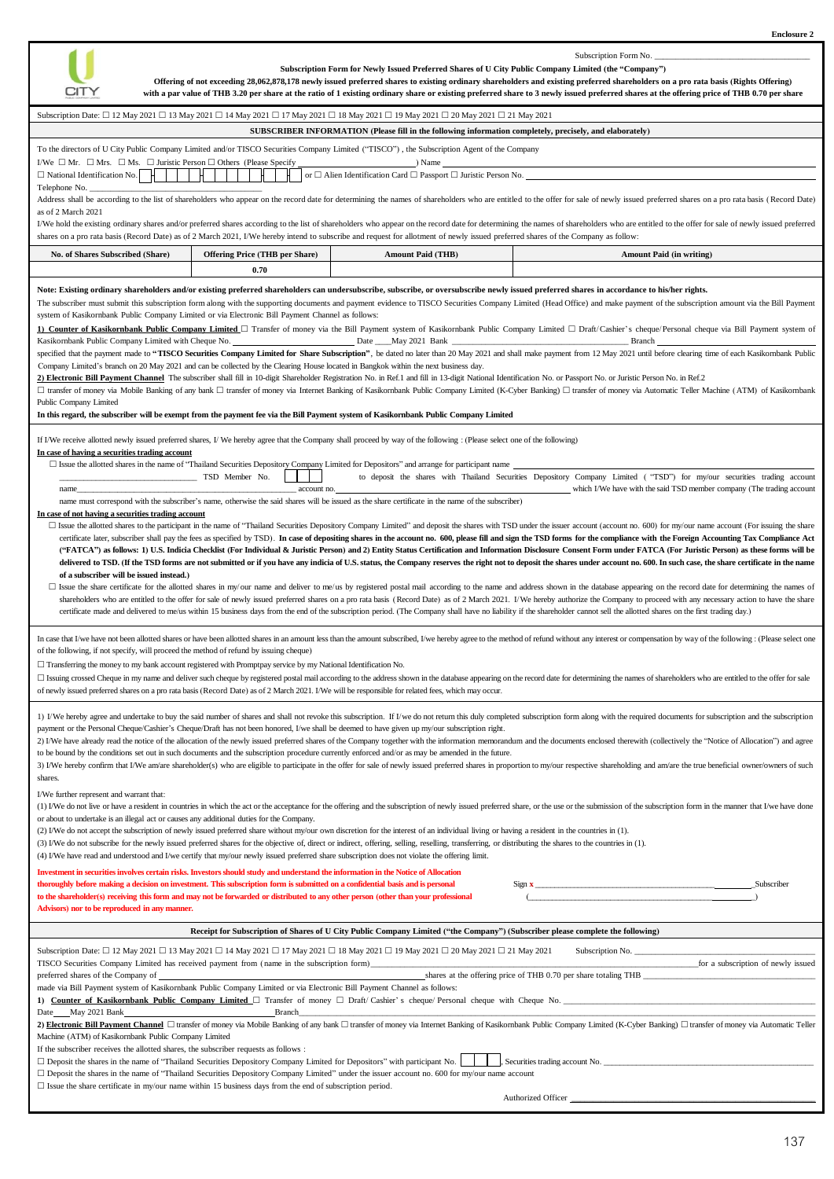

Subscription Form No.

| Subscription Date: □ 12 May 2021 □ 13 May 2021 □ 14 May 2021 □ 17 May 2021 □ 18 May 2021 □ 19 May 2021 □ 20 May 2021 □ 21 May 2021<br>SUBSCRIBER INFORMATION (Please fill in the following information completely, precisely, and elaborately)<br>To the directors of U City Public Company Limited and/or TISCO Securities Company Limited ("TISCO"), the Subscription Agent of the Company<br>I/We $\Box$ Mr. $\Box$ Mrs. $\Box$ Ms. $\Box$ Juristic Person $\Box$ Others (Please Specify<br>$\Box$ ) Name<br>or $\Box$ Alien Identification Card $\Box$ Passport $\Box$ Juristic Person No.<br>$\Box$ National Identification No.<br>Telephone No.<br>Address shall be according to the list of shareholders who appear on the record date for determining the names of shareholders who are entitled to the offer for sale of newly issued preferred shares on a pro rata basis (Re<br>as of 2 March 2021<br>I/We hold the existing ordinary shares and/or preferred shares according to the list of shareholders who appear on the record date for determining the names of shareholders who are entitled to the offer for sale of newly i<br>shares on a pro rata basis (Record Date) as of 2 March 2021, I/We hereby intend to subscribe and request for allotment of newly issued preferred shares of the Company as follow:<br><b>Offering Price (THB per Share)</b><br>No. of Shares Subscribed (Share)<br><b>Amount Paid (THB)</b><br><b>Amount Paid (in writing)</b><br>0.70<br>Note: Existing ordinary shareholders and/or existing preferred shareholders can undersubscribe, subscribe, or oversubscribe newly issued preferred shares in accordance to his/her rights.<br>The subscriber must submit this subscription form along with the supporting documents and payment evidence to TISCO Securities Company Limited (Head Office) and make payment of the subscription amount via the Bill Payment<br>system of Kasikornbank Public Company Limited or via Electronic Bill Payment Channel as follows:<br>1) Counter of Kasikornbank Public Company Limited <a> <a> <a> C<br/> Transfer of money via the Bill Payment system of Kasikornbank Public Company Limited <a> C<br/> Draft/Cashier's cheque/Personal cheque via Bill Payment s<br/>Kasikornbank Public Company Limited with Cheque No. ______________________________Date _____May 2021 Bank ___<br/>Branch<br/>specified that the payment made to "TISCO Securities Company Limited for Share Subscription", be dated no later than 20 May 2021 and shall make payment from 12 May 2021 until before clearing time of each Kasikornbank Publi<br/>Company Limited's branch on 20 May 2021 and can be collected by the Clearing House located in Bangkok within the next business day.<br>2) Electronic Bill Payment Channel The subscriber shall fill in 10-digit Shareholder Registration No. in Ref.1 and fill in 13-digit National Identification No. or Passport No. or Juristic Person No. in Ref.2<br>□ transfer of money via Mobile Banking of any bank □ transfer of money via Internet Banking of Kasikornbank Public Company Limited (K-Cyber Banking) □ transfer of money via Automatic Teller Machine (ATM) of Kasikornbank<br/>Public Company Limited<br/>In this regard, the subscriber will be exempt from the payment fee via the Bill Payment system of Kasikornbank Public Company Limited<br/>If I/We receive allotted newly issued preferred shares, I/We hereby agree that the Company shall proceed by way of the following : (Please select one of the following)<br/>In case of having a securities trading account<br/><math>\Box</math> Issue the allotted shares in the name of "Thailand Securities Depository Company Limited for Depositors" and arrange for participant name<br/><b>The Common</b><br/>to deposit the shares with Thailand Securities Depository Company Limited ("TSD") for my/our securities trading account<br/>TSD Member No.<br/>which I/We have with the said TSD member company (The trading account<br/>account no.<br/>name_<br/>name must correspond with the subscriber's name, otherwise the said shares will be issued as the share certificate in the name of the subscriber)<br/>In case of not having a securities trading account<br/>□ Issue the allotted shares to the participant in the name of "Thailand Securities Depository Company Limited" and deposit the shares with TSD under the issuer account (account no. 600) for my/our name account (For issuin<br/>certificate later, subscriber shall pay the fees as specified by TSD). In case of depositing shares in the account no. 600, please fill and sign the TSD forms for the compliance with the Foreign Accounting Tax Compliance A<br/>("FATCA") as follows: 1) U.S. Indicia Checklist (For Individual &amp; Juristic Person) and 2) Entity Status Certification and Information Disclosure Consent Form under FATCA (For Juristic Person) as these forms will be<br/>delivered to TSD. (If the TSD forms are not submitted or if you have any indicia of U.S. status, the Company reserves the right not to deposit the shares under account no. 600. In such case, the share certificate in the na<br/>of a subscriber will be issued instead.)<br/>□ Issue the share certificate for the allotted shares in my/our name and deliver to me/us by registered postal mail according to the name and address shown in the database appearing on the record date for determining the<br/>shareholders who are entitled to the offer for sale of newly issued preferred shares on a pro rata basis (Record Date) as of 2 March 2021. I/We hereby authorize the Company to proceed with any necessary action to have the<br/>certificate made and delivered to me/us within 15 business days from the end of the subscription period. (The Company shall have no liability if the shareholder cannot sell the allotted shares on the first trading day.)<br/>In case that I/we have not been allotted shares or have been allotted shares in an amount less than the amount subscribed, I/we hereby agree to the method of refund without any interest or compensation by way of the follow<br/>of the following, if not specify, will proceed the method of refund by issuing cheque)<br/><math>\Box</math> Transferring the money to my bank account registered with Promptpay service by my National Identification No.<br/>□ Issuing crossed Cheque in my name and deliver such cheque by registered postal mail according to the address shown in the database appearing on the record date for determining the names of shareholders who are entitled<br/>of newly issued preferred shares on a pro rata basis (Record Date) as of 2 March 2021. I/We will be responsible for related fees, which may occur.<br/>1) I/We hereby agree and undertake to buy the said number of shares and shall not revoke this subscription. If I/we do not return this duly completed subscription form along with the required documents for subscription and<br/>payment or the Personal Cheque/Cashier's Cheque/Draft has not been honored, I/we shall be deemed to have given up my/our subscription right.<br/>2) I/We have already read the notice of the allocation of the newly issued preferred shares of the Company together with the information memorandum and the documents enclosed therewith (collectively the "Notice of Allocati<br/>to be bound by the conditions set out in such documents and the subscription procedure currently enforced and/or as may be amended in the future.<br/>3) I/We hereby confirm that I/We am/are shareholder(s) who are eligible to participate in the offer for sale of newly issued preferred shares in proportion to my/our respective shareholding and am/are the true beneficial o<br/>shares.<br/>I/We further represent and warrant that:<br/>(1) I/We do not live or have a resident in countries in which the act or the acceptance for the offering and the subscription of newly issued preferred share, or the use or the submission of the subscription form in the ma<br/>or about to undertake is an illegal act or causes any additional duties for the Company.<br/>(2) I/We do not accept the subscription of newly issued preferred share without my/our own discretion for the interest of an individual living or having a resident in the countries in (1).<br/>(3) I/We do not subscribe for the newly issued preferred shares for the objective of, direct or indirect, offering, selling, reselling, transferring, or distributing the shares to the countries in (1).<br/>(4) I/We have read and understood and I/we certify that my/our newly issued preferred share subscription does not violate the offering limit.<br/>Investment in securities involves certain risks. Investors should study and understand the information in the Notice of Allocation<br/>thoroughly before making a decision on investment. This subscription form is submitted on a confidential basis and is personal<br/>Subscriber<br/>to the shareholder(s) receiving this form and may not be forwarded or distributed to any other person (other than your professional<br/>Advisors) nor to be reproduced in any manner.<br/>Receipt for Subscription of Shares of U City Public Company Limited ("the Company") (Subscriber please complete the following)<br/>Subscription Date: □ 12 May 2021 □ 13 May 2021 □ 14 May 2021 □ 17 May 2021 □ 18 May 2021 □ 19 May 2021 □ 20 May 2021 □ 21 May 2021<br/>Subscription No.<br/>TISCO Securities Company Limited has received payment from (name in the subscription form)<br/>for a subscription of newly issued<br/>shares at the offering price of THB 0.70 per share totaling THB<br/>preferred shares of the Company of<br/>made via Bill Payment system of Kasikornbank Public Company Limited or via Electronic Bill Payment Channel as follows:<br/>1) Counter of Kasikornbank Public Company Limited <math>\Box</math> Transfer of money <math>\Box</math> Draft/ Cashier's cheque/ Personal cheque with Cheque No.<br/>Date May 2021 Bank<br/><b>Branch</b><br/>2) Electronic Bill Payment Channel □ transfer of money via Mobile Banking of any bank □ transfer of money via Internet Banking of Kasikornbank Public Company Limited (K-Cyber Banking) □ transfer of money via Automatic Tel<br/>Machine (ATM) of Kasikornbank Public Company Limited<br/>If the subscriber receives the allotted shares, the subscriber requests as follows :<br/><math>\Box</math> Deposit the shares in the name of "Thailand Securities Depository Company Limited for Depositors" with participant No.<br/>Securities trading account No.<br/><math>\Box</math> Deposit the shares in the name of "Thailand Securities Depository Company Limited" under the issuer account no. 600 for my/our name account<br/><math>\Box</math> Issue the share certificate in my/our name within 15 business days from the end of subscription period.</br></br></a></a></a></a> | Subscription Form for Newly Issued Preferred Shares of U City Public Company Limited (the "Company")<br>Offering of not exceeding 28,062,878,178 newly issued preferred shares to existing ordinary shareholders and existing preferred shareholders on a pro rata basis (Rights Offering)<br>CITY<br>with a par value of THB 3.20 per share at the ratio of 1 existing ordinary share or existing preferred share to 3 newly issued preferred shares at the offering price of THB 0.70 per share |  |  |  |  |  |
|----------------------------------------------------------------------------------------------------------------------------------------------------------------------------------------------------------------------------------------------------------------------------------------------------------------------------------------------------------------------------------------------------------------------------------------------------------------------------------------------------------------------------------------------------------------------------------------------------------------------------------------------------------------------------------------------------------------------------------------------------------------------------------------------------------------------------------------------------------------------------------------------------------------------------------------------------------------------------------------------------------------------------------------------------------------------------------------------------------------------------------------------------------------------------------------------------------------------------------------------------------------------------------------------------------------------------------------------------------------------------------------------------------------------------------------------------------------------------------------------------------------------------------------------------------------------------------------------------------------------------------------------------------------------------------------------------------------------------------------------------------------------------------------------------------------------------------------------------------------------------------------------------------------------------------------------------------------------------------------------------------------------------------------------------------------------------------------------------------------------------------------------------------------------------------------------------------------------------------------------------------------------------------------------------------------------------------------------------------------------------------------------------------------------------------------------------------------------------------------------------------------------------------------------------------------------------------------------------------------------------------------------------------------------------------------------------------------------------------------------------------------------------------------------------------------------------------------------------------------------------------------------------------------------------------------------------------------------------------------------------------------------------------------------------------------------------------------------------------------------------------------------------------------------------------------------------------------------------------------------------------------------------------------------------------------------------------------------------------------------------------------------------------------------------------------------------------------------------------------------------------------------------------------------------------------------------------------------------------------------------------------------------------------------------------------------------------------------------------------------------------------------------------------------------------------------------------------------------------------------------------------------------------------------------------------------------------------------------------------------------------------------------------------------------------------------------------------------------------------------------------------------------------------------------------------------------------------------------------------------------------------------------------------------------------------------------------------------------------------------------------------------------------------------------------------------------------------------------------------------------------------------------------------------------------------------------------------------------------------------------------------------------------------------------------------------------------------------------------------------------------------------------------------------------------------------------------------------------------------------------------------------------------------------------------------------------------------------------------------------------------------------------------------------------------------------------------------------------------------------------------------------------------------------------------------------------------------------------------------------------------------------------------------------------------------------------------------------------------------------------------------------------------------------------------------------------------------------------------------------------------------------------------------------------------------------------------------------------------------------------------------------------------------------------------------------------------------------------------------------------------------------------------------------------------------------------------------------------------------------------------------------------------------------------------------------------------------------------------------------------------------------------------------------------------------------------------------------------------------------------------------------------------------------------------------------------------------------------------------------------------------------------------------------------------------------------------------------------------------------------------------------------------------------------------------------------------------------------------------------------------------------------------------------------------------------------------------------------------------------------------------------------------------------------------------------------------------------------------------------------------------------------------------------------------------------------------------------------------------------------------------------------------------------------------------------------------------------------------------------------------------------------------------------------------------------------------------------------------------------------------------------------------------------------------------------------------------------------------------------------------------------------------------------------------------------------------------------------------------------------------------------------------------------------------------------------------------------------------------------------------------------------------------------------------------------------------------------------------------------------------------------------------------------------------------------------------------------------------------------------------------------------------------------------------------------------------------------------------------------------------------------------------------------------------------------------------------------------------------------------------------------------------------------------------------------------------------------------------------------------------------------------------------------------------------------------------------------------------------------------------------------------------------------------------------------------------------------------------------------------------------------------------------------------------------------------------------------------------------------------------------------------------------------------------------------------------------------------------------------------------------------------------------------------------------------------------------------------------------------------------------------------------------------------------------------------------------------------------------------------------------------------------------------------------------------------------------------------------------------------------------------------------------------------------------------------------------------------------------------------------------------------------------------------------------------------------------------------------------------------------------------------------------------------------------------------------------------------------------------------------------------------------------------------------------------------------------------------------------------------------------------------------------------------------------------------------------------------------------------------------------------------------------------------------------------------------------------------------------------------------------------------------------------------------------------------------------------------------------------------------------------------------------------------------------------------------------------------------------------------------------------------------------------------------------------------------------------------------------------------------------------------------------------------------------------------------------------------------------------------------------------------------------------------------------------------------------------------------------------------------------------------------------------------------------------------------------------------------------------------------------------------------------------------------------------------------------------------------------------------------------------------------------------------------------------------------------------------------------------------------------------------------------------------------------------------------------------------------------------------------------------------------------------------------------------------------------------------------------------------------------------------------------------------------------------------------------|---------------------------------------------------------------------------------------------------------------------------------------------------------------------------------------------------------------------------------------------------------------------------------------------------------------------------------------------------------------------------------------------------------------------------------------------------------------------------------------------------|--|--|--|--|--|
|                                                                                                                                                                                                                                                                                                                                                                                                                                                                                                                                                                                                                                                                                                                                                                                                                                                                                                                                                                                                                                                                                                                                                                                                                                                                                                                                                                                                                                                                                                                                                                                                                                                                                                                                                                                                                                                                                                                                                                                                                                                                                                                                                                                                                                                                                                                                                                                                                                                                                                                                                                                                                                                                                                                                                                                                                                                                                                                                                                                                                                                                                                                                                                                                                                                                                                                                                                                                                                                                                                                                                                                                                                                                                                                                                                                                                                                                                                                                                                                                                                                                                                                                                                                                                                                                                                                                                                                                                                                                                                                                                                                                                                                                                                                                                                                                                                                                                                                                                                                                                                                                                                                                                                                                                                                                                                                                                                                                                                                                                                                                                                                                                                                                                                                                                                                                                                                                                                                                                                                                                                                                                                                                                                                                                                                                                                                                                                                                                                                                                                                                                                                                                                                                                                                                                                                                                                                                                                                                                                                                                                                                                                                                                                                                                                                                                                                                                                                                                                                                                                                                                                                                                                                                                                                                                                                                                                                                                                                                                                                                                                                                                                                                                                                                                                                                                                                                                                                                                                                                                                                                                                                                                                                                                                                                                                                                                                                                                                                                                                                                                                                                                                                                                                                                                                                                                                                                                                                                                                                                                                                                                                                                                                                                                                                                                                                                                                                                                                                                                                                                                                                                                                                                                                                                                                                                                                                                                                                                                                                                                                                                                                                                                                                                                                                                                                                                                                                                                                                                                                                                                                                                                        |                                                                                                                                                                                                                                                                                                                                                                                                                                                                                                   |  |  |  |  |  |
|                                                                                                                                                                                                                                                                                                                                                                                                                                                                                                                                                                                                                                                                                                                                                                                                                                                                                                                                                                                                                                                                                                                                                                                                                                                                                                                                                                                                                                                                                                                                                                                                                                                                                                                                                                                                                                                                                                                                                                                                                                                                                                                                                                                                                                                                                                                                                                                                                                                                                                                                                                                                                                                                                                                                                                                                                                                                                                                                                                                                                                                                                                                                                                                                                                                                                                                                                                                                                                                                                                                                                                                                                                                                                                                                                                                                                                                                                                                                                                                                                                                                                                                                                                                                                                                                                                                                                                                                                                                                                                                                                                                                                                                                                                                                                                                                                                                                                                                                                                                                                                                                                                                                                                                                                                                                                                                                                                                                                                                                                                                                                                                                                                                                                                                                                                                                                                                                                                                                                                                                                                                                                                                                                                                                                                                                                                                                                                                                                                                                                                                                                                                                                                                                                                                                                                                                                                                                                                                                                                                                                                                                                                                                                                                                                                                                                                                                                                                                                                                                                                                                                                                                                                                                                                                                                                                                                                                                                                                                                                                                                                                                                                                                                                                                                                                                                                                                                                                                                                                                                                                                                                                                                                                                                                                                                                                                                                                                                                                                                                                                                                                                                                                                                                                                                                                                                                                                                                                                                                                                                                                                                                                                                                                                                                                                                                                                                                                                                                                                                                                                                                                                                                                                                                                                                                                                                                                                                                                                                                                                                                                                                                                                                                                                                                                                                                                                                                                                                                                                                                                                                                                                                        |                                                                                                                                                                                                                                                                                                                                                                                                                                                                                                   |  |  |  |  |  |
|                                                                                                                                                                                                                                                                                                                                                                                                                                                                                                                                                                                                                                                                                                                                                                                                                                                                                                                                                                                                                                                                                                                                                                                                                                                                                                                                                                                                                                                                                                                                                                                                                                                                                                                                                                                                                                                                                                                                                                                                                                                                                                                                                                                                                                                                                                                                                                                                                                                                                                                                                                                                                                                                                                                                                                                                                                                                                                                                                                                                                                                                                                                                                                                                                                                                                                                                                                                                                                                                                                                                                                                                                                                                                                                                                                                                                                                                                                                                                                                                                                                                                                                                                                                                                                                                                                                                                                                                                                                                                                                                                                                                                                                                                                                                                                                                                                                                                                                                                                                                                                                                                                                                                                                                                                                                                                                                                                                                                                                                                                                                                                                                                                                                                                                                                                                                                                                                                                                                                                                                                                                                                                                                                                                                                                                                                                                                                                                                                                                                                                                                                                                                                                                                                                                                                                                                                                                                                                                                                                                                                                                                                                                                                                                                                                                                                                                                                                                                                                                                                                                                                                                                                                                                                                                                                                                                                                                                                                                                                                                                                                                                                                                                                                                                                                                                                                                                                                                                                                                                                                                                                                                                                                                                                                                                                                                                                                                                                                                                                                                                                                                                                                                                                                                                                                                                                                                                                                                                                                                                                                                                                                                                                                                                                                                                                                                                                                                                                                                                                                                                                                                                                                                                                                                                                                                                                                                                                                                                                                                                                                                                                                                                                                                                                                                                                                                                                                                                                                                                                                                                                                                                                        |                                                                                                                                                                                                                                                                                                                                                                                                                                                                                                   |  |  |  |  |  |
|                                                                                                                                                                                                                                                                                                                                                                                                                                                                                                                                                                                                                                                                                                                                                                                                                                                                                                                                                                                                                                                                                                                                                                                                                                                                                                                                                                                                                                                                                                                                                                                                                                                                                                                                                                                                                                                                                                                                                                                                                                                                                                                                                                                                                                                                                                                                                                                                                                                                                                                                                                                                                                                                                                                                                                                                                                                                                                                                                                                                                                                                                                                                                                                                                                                                                                                                                                                                                                                                                                                                                                                                                                                                                                                                                                                                                                                                                                                                                                                                                                                                                                                                                                                                                                                                                                                                                                                                                                                                                                                                                                                                                                                                                                                                                                                                                                                                                                                                                                                                                                                                                                                                                                                                                                                                                                                                                                                                                                                                                                                                                                                                                                                                                                                                                                                                                                                                                                                                                                                                                                                                                                                                                                                                                                                                                                                                                                                                                                                                                                                                                                                                                                                                                                                                                                                                                                                                                                                                                                                                                                                                                                                                                                                                                                                                                                                                                                                                                                                                                                                                                                                                                                                                                                                                                                                                                                                                                                                                                                                                                                                                                                                                                                                                                                                                                                                                                                                                                                                                                                                                                                                                                                                                                                                                                                                                                                                                                                                                                                                                                                                                                                                                                                                                                                                                                                                                                                                                                                                                                                                                                                                                                                                                                                                                                                                                                                                                                                                                                                                                                                                                                                                                                                                                                                                                                                                                                                                                                                                                                                                                                                                                                                                                                                                                                                                                                                                                                                                                                                                                                                                                                        |                                                                                                                                                                                                                                                                                                                                                                                                                                                                                                   |  |  |  |  |  |
|                                                                                                                                                                                                                                                                                                                                                                                                                                                                                                                                                                                                                                                                                                                                                                                                                                                                                                                                                                                                                                                                                                                                                                                                                                                                                                                                                                                                                                                                                                                                                                                                                                                                                                                                                                                                                                                                                                                                                                                                                                                                                                                                                                                                                                                                                                                                                                                                                                                                                                                                                                                                                                                                                                                                                                                                                                                                                                                                                                                                                                                                                                                                                                                                                                                                                                                                                                                                                                                                                                                                                                                                                                                                                                                                                                                                                                                                                                                                                                                                                                                                                                                                                                                                                                                                                                                                                                                                                                                                                                                                                                                                                                                                                                                                                                                                                                                                                                                                                                                                                                                                                                                                                                                                                                                                                                                                                                                                                                                                                                                                                                                                                                                                                                                                                                                                                                                                                                                                                                                                                                                                                                                                                                                                                                                                                                                                                                                                                                                                                                                                                                                                                                                                                                                                                                                                                                                                                                                                                                                                                                                                                                                                                                                                                                                                                                                                                                                                                                                                                                                                                                                                                                                                                                                                                                                                                                                                                                                                                                                                                                                                                                                                                                                                                                                                                                                                                                                                                                                                                                                                                                                                                                                                                                                                                                                                                                                                                                                                                                                                                                                                                                                                                                                                                                                                                                                                                                                                                                                                                                                                                                                                                                                                                                                                                                                                                                                                                                                                                                                                                                                                                                                                                                                                                                                                                                                                                                                                                                                                                                                                                                                                                                                                                                                                                                                                                                                                                                                                                                                                                                                                                        |                                                                                                                                                                                                                                                                                                                                                                                                                                                                                                   |  |  |  |  |  |
|                                                                                                                                                                                                                                                                                                                                                                                                                                                                                                                                                                                                                                                                                                                                                                                                                                                                                                                                                                                                                                                                                                                                                                                                                                                                                                                                                                                                                                                                                                                                                                                                                                                                                                                                                                                                                                                                                                                                                                                                                                                                                                                                                                                                                                                                                                                                                                                                                                                                                                                                                                                                                                                                                                                                                                                                                                                                                                                                                                                                                                                                                                                                                                                                                                                                                                                                                                                                                                                                                                                                                                                                                                                                                                                                                                                                                                                                                                                                                                                                                                                                                                                                                                                                                                                                                                                                                                                                                                                                                                                                                                                                                                                                                                                                                                                                                                                                                                                                                                                                                                                                                                                                                                                                                                                                                                                                                                                                                                                                                                                                                                                                                                                                                                                                                                                                                                                                                                                                                                                                                                                                                                                                                                                                                                                                                                                                                                                                                                                                                                                                                                                                                                                                                                                                                                                                                                                                                                                                                                                                                                                                                                                                                                                                                                                                                                                                                                                                                                                                                                                                                                                                                                                                                                                                                                                                                                                                                                                                                                                                                                                                                                                                                                                                                                                                                                                                                                                                                                                                                                                                                                                                                                                                                                                                                                                                                                                                                                                                                                                                                                                                                                                                                                                                                                                                                                                                                                                                                                                                                                                                                                                                                                                                                                                                                                                                                                                                                                                                                                                                                                                                                                                                                                                                                                                                                                                                                                                                                                                                                                                                                                                                                                                                                                                                                                                                                                                                                                                                                                                                                                                                                        |                                                                                                                                                                                                                                                                                                                                                                                                                                                                                                   |  |  |  |  |  |
|                                                                                                                                                                                                                                                                                                                                                                                                                                                                                                                                                                                                                                                                                                                                                                                                                                                                                                                                                                                                                                                                                                                                                                                                                                                                                                                                                                                                                                                                                                                                                                                                                                                                                                                                                                                                                                                                                                                                                                                                                                                                                                                                                                                                                                                                                                                                                                                                                                                                                                                                                                                                                                                                                                                                                                                                                                                                                                                                                                                                                                                                                                                                                                                                                                                                                                                                                                                                                                                                                                                                                                                                                                                                                                                                                                                                                                                                                                                                                                                                                                                                                                                                                                                                                                                                                                                                                                                                                                                                                                                                                                                                                                                                                                                                                                                                                                                                                                                                                                                                                                                                                                                                                                                                                                                                                                                                                                                                                                                                                                                                                                                                                                                                                                                                                                                                                                                                                                                                                                                                                                                                                                                                                                                                                                                                                                                                                                                                                                                                                                                                                                                                                                                                                                                                                                                                                                                                                                                                                                                                                                                                                                                                                                                                                                                                                                                                                                                                                                                                                                                                                                                                                                                                                                                                                                                                                                                                                                                                                                                                                                                                                                                                                                                                                                                                                                                                                                                                                                                                                                                                                                                                                                                                                                                                                                                                                                                                                                                                                                                                                                                                                                                                                                                                                                                                                                                                                                                                                                                                                                                                                                                                                                                                                                                                                                                                                                                                                                                                                                                                                                                                                                                                                                                                                                                                                                                                                                                                                                                                                                                                                                                                                                                                                                                                                                                                                                                                                                                                                                                                                                                                                        |                                                                                                                                                                                                                                                                                                                                                                                                                                                                                                   |  |  |  |  |  |
|                                                                                                                                                                                                                                                                                                                                                                                                                                                                                                                                                                                                                                                                                                                                                                                                                                                                                                                                                                                                                                                                                                                                                                                                                                                                                                                                                                                                                                                                                                                                                                                                                                                                                                                                                                                                                                                                                                                                                                                                                                                                                                                                                                                                                                                                                                                                                                                                                                                                                                                                                                                                                                                                                                                                                                                                                                                                                                                                                                                                                                                                                                                                                                                                                                                                                                                                                                                                                                                                                                                                                                                                                                                                                                                                                                                                                                                                                                                                                                                                                                                                                                                                                                                                                                                                                                                                                                                                                                                                                                                                                                                                                                                                                                                                                                                                                                                                                                                                                                                                                                                                                                                                                                                                                                                                                                                                                                                                                                                                                                                                                                                                                                                                                                                                                                                                                                                                                                                                                                                                                                                                                                                                                                                                                                                                                                                                                                                                                                                                                                                                                                                                                                                                                                                                                                                                                                                                                                                                                                                                                                                                                                                                                                                                                                                                                                                                                                                                                                                                                                                                                                                                                                                                                                                                                                                                                                                                                                                                                                                                                                                                                                                                                                                                                                                                                                                                                                                                                                                                                                                                                                                                                                                                                                                                                                                                                                                                                                                                                                                                                                                                                                                                                                                                                                                                                                                                                                                                                                                                                                                                                                                                                                                                                                                                                                                                                                                                                                                                                                                                                                                                                                                                                                                                                                                                                                                                                                                                                                                                                                                                                                                                                                                                                                                                                                                                                                                                                                                                                                                                                                                                                        |                                                                                                                                                                                                                                                                                                                                                                                                                                                                                                   |  |  |  |  |  |
|                                                                                                                                                                                                                                                                                                                                                                                                                                                                                                                                                                                                                                                                                                                                                                                                                                                                                                                                                                                                                                                                                                                                                                                                                                                                                                                                                                                                                                                                                                                                                                                                                                                                                                                                                                                                                                                                                                                                                                                                                                                                                                                                                                                                                                                                                                                                                                                                                                                                                                                                                                                                                                                                                                                                                                                                                                                                                                                                                                                                                                                                                                                                                                                                                                                                                                                                                                                                                                                                                                                                                                                                                                                                                                                                                                                                                                                                                                                                                                                                                                                                                                                                                                                                                                                                                                                                                                                                                                                                                                                                                                                                                                                                                                                                                                                                                                                                                                                                                                                                                                                                                                                                                                                                                                                                                                                                                                                                                                                                                                                                                                                                                                                                                                                                                                                                                                                                                                                                                                                                                                                                                                                                                                                                                                                                                                                                                                                                                                                                                                                                                                                                                                                                                                                                                                                                                                                                                                                                                                                                                                                                                                                                                                                                                                                                                                                                                                                                                                                                                                                                                                                                                                                                                                                                                                                                                                                                                                                                                                                                                                                                                                                                                                                                                                                                                                                                                                                                                                                                                                                                                                                                                                                                                                                                                                                                                                                                                                                                                                                                                                                                                                                                                                                                                                                                                                                                                                                                                                                                                                                                                                                                                                                                                                                                                                                                                                                                                                                                                                                                                                                                                                                                                                                                                                                                                                                                                                                                                                                                                                                                                                                                                                                                                                                                                                                                                                                                                                                                                                                                                                                                                        |                                                                                                                                                                                                                                                                                                                                                                                                                                                                                                   |  |  |  |  |  |
|                                                                                                                                                                                                                                                                                                                                                                                                                                                                                                                                                                                                                                                                                                                                                                                                                                                                                                                                                                                                                                                                                                                                                                                                                                                                                                                                                                                                                                                                                                                                                                                                                                                                                                                                                                                                                                                                                                                                                                                                                                                                                                                                                                                                                                                                                                                                                                                                                                                                                                                                                                                                                                                                                                                                                                                                                                                                                                                                                                                                                                                                                                                                                                                                                                                                                                                                                                                                                                                                                                                                                                                                                                                                                                                                                                                                                                                                                                                                                                                                                                                                                                                                                                                                                                                                                                                                                                                                                                                                                                                                                                                                                                                                                                                                                                                                                                                                                                                                                                                                                                                                                                                                                                                                                                                                                                                                                                                                                                                                                                                                                                                                                                                                                                                                                                                                                                                                                                                                                                                                                                                                                                                                                                                                                                                                                                                                                                                                                                                                                                                                                                                                                                                                                                                                                                                                                                                                                                                                                                                                                                                                                                                                                                                                                                                                                                                                                                                                                                                                                                                                                                                                                                                                                                                                                                                                                                                                                                                                                                                                                                                                                                                                                                                                                                                                                                                                                                                                                                                                                                                                                                                                                                                                                                                                                                                                                                                                                                                                                                                                                                                                                                                                                                                                                                                                                                                                                                                                                                                                                                                                                                                                                                                                                                                                                                                                                                                                                                                                                                                                                                                                                                                                                                                                                                                                                                                                                                                                                                                                                                                                                                                                                                                                                                                                                                                                                                                                                                                                                                                                                                                                                        |                                                                                                                                                                                                                                                                                                                                                                                                                                                                                                   |  |  |  |  |  |
|                                                                                                                                                                                                                                                                                                                                                                                                                                                                                                                                                                                                                                                                                                                                                                                                                                                                                                                                                                                                                                                                                                                                                                                                                                                                                                                                                                                                                                                                                                                                                                                                                                                                                                                                                                                                                                                                                                                                                                                                                                                                                                                                                                                                                                                                                                                                                                                                                                                                                                                                                                                                                                                                                                                                                                                                                                                                                                                                                                                                                                                                                                                                                                                                                                                                                                                                                                                                                                                                                                                                                                                                                                                                                                                                                                                                                                                                                                                                                                                                                                                                                                                                                                                                                                                                                                                                                                                                                                                                                                                                                                                                                                                                                                                                                                                                                                                                                                                                                                                                                                                                                                                                                                                                                                                                                                                                                                                                                                                                                                                                                                                                                                                                                                                                                                                                                                                                                                                                                                                                                                                                                                                                                                                                                                                                                                                                                                                                                                                                                                                                                                                                                                                                                                                                                                                                                                                                                                                                                                                                                                                                                                                                                                                                                                                                                                                                                                                                                                                                                                                                                                                                                                                                                                                                                                                                                                                                                                                                                                                                                                                                                                                                                                                                                                                                                                                                                                                                                                                                                                                                                                                                                                                                                                                                                                                                                                                                                                                                                                                                                                                                                                                                                                                                                                                                                                                                                                                                                                                                                                                                                                                                                                                                                                                                                                                                                                                                                                                                                                                                                                                                                                                                                                                                                                                                                                                                                                                                                                                                                                                                                                                                                                                                                                                                                                                                                                                                                                                                                                                                                                                                                        |                                                                                                                                                                                                                                                                                                                                                                                                                                                                                                   |  |  |  |  |  |
|                                                                                                                                                                                                                                                                                                                                                                                                                                                                                                                                                                                                                                                                                                                                                                                                                                                                                                                                                                                                                                                                                                                                                                                                                                                                                                                                                                                                                                                                                                                                                                                                                                                                                                                                                                                                                                                                                                                                                                                                                                                                                                                                                                                                                                                                                                                                                                                                                                                                                                                                                                                                                                                                                                                                                                                                                                                                                                                                                                                                                                                                                                                                                                                                                                                                                                                                                                                                                                                                                                                                                                                                                                                                                                                                                                                                                                                                                                                                                                                                                                                                                                                                                                                                                                                                                                                                                                                                                                                                                                                                                                                                                                                                                                                                                                                                                                                                                                                                                                                                                                                                                                                                                                                                                                                                                                                                                                                                                                                                                                                                                                                                                                                                                                                                                                                                                                                                                                                                                                                                                                                                                                                                                                                                                                                                                                                                                                                                                                                                                                                                                                                                                                                                                                                                                                                                                                                                                                                                                                                                                                                                                                                                                                                                                                                                                                                                                                                                                                                                                                                                                                                                                                                                                                                                                                                                                                                                                                                                                                                                                                                                                                                                                                                                                                                                                                                                                                                                                                                                                                                                                                                                                                                                                                                                                                                                                                                                                                                                                                                                                                                                                                                                                                                                                                                                                                                                                                                                                                                                                                                                                                                                                                                                                                                                                                                                                                                                                                                                                                                                                                                                                                                                                                                                                                                                                                                                                                                                                                                                                                                                                                                                                                                                                                                                                                                                                                                                                                                                                                                                                                                                                        |                                                                                                                                                                                                                                                                                                                                                                                                                                                                                                   |  |  |  |  |  |
|                                                                                                                                                                                                                                                                                                                                                                                                                                                                                                                                                                                                                                                                                                                                                                                                                                                                                                                                                                                                                                                                                                                                                                                                                                                                                                                                                                                                                                                                                                                                                                                                                                                                                                                                                                                                                                                                                                                                                                                                                                                                                                                                                                                                                                                                                                                                                                                                                                                                                                                                                                                                                                                                                                                                                                                                                                                                                                                                                                                                                                                                                                                                                                                                                                                                                                                                                                                                                                                                                                                                                                                                                                                                                                                                                                                                                                                                                                                                                                                                                                                                                                                                                                                                                                                                                                                                                                                                                                                                                                                                                                                                                                                                                                                                                                                                                                                                                                                                                                                                                                                                                                                                                                                                                                                                                                                                                                                                                                                                                                                                                                                                                                                                                                                                                                                                                                                                                                                                                                                                                                                                                                                                                                                                                                                                                                                                                                                                                                                                                                                                                                                                                                                                                                                                                                                                                                                                                                                                                                                                                                                                                                                                                                                                                                                                                                                                                                                                                                                                                                                                                                                                                                                                                                                                                                                                                                                                                                                                                                                                                                                                                                                                                                                                                                                                                                                                                                                                                                                                                                                                                                                                                                                                                                                                                                                                                                                                                                                                                                                                                                                                                                                                                                                                                                                                                                                                                                                                                                                                                                                                                                                                                                                                                                                                                                                                                                                                                                                                                                                                                                                                                                                                                                                                                                                                                                                                                                                                                                                                                                                                                                                                                                                                                                                                                                                                                                                                                                                                                                                                                                                                                        |                                                                                                                                                                                                                                                                                                                                                                                                                                                                                                   |  |  |  |  |  |
|                                                                                                                                                                                                                                                                                                                                                                                                                                                                                                                                                                                                                                                                                                                                                                                                                                                                                                                                                                                                                                                                                                                                                                                                                                                                                                                                                                                                                                                                                                                                                                                                                                                                                                                                                                                                                                                                                                                                                                                                                                                                                                                                                                                                                                                                                                                                                                                                                                                                                                                                                                                                                                                                                                                                                                                                                                                                                                                                                                                                                                                                                                                                                                                                                                                                                                                                                                                                                                                                                                                                                                                                                                                                                                                                                                                                                                                                                                                                                                                                                                                                                                                                                                                                                                                                                                                                                                                                                                                                                                                                                                                                                                                                                                                                                                                                                                                                                                                                                                                                                                                                                                                                                                                                                                                                                                                                                                                                                                                                                                                                                                                                                                                                                                                                                                                                                                                                                                                                                                                                                                                                                                                                                                                                                                                                                                                                                                                                                                                                                                                                                                                                                                                                                                                                                                                                                                                                                                                                                                                                                                                                                                                                                                                                                                                                                                                                                                                                                                                                                                                                                                                                                                                                                                                                                                                                                                                                                                                                                                                                                                                                                                                                                                                                                                                                                                                                                                                                                                                                                                                                                                                                                                                                                                                                                                                                                                                                                                                                                                                                                                                                                                                                                                                                                                                                                                                                                                                                                                                                                                                                                                                                                                                                                                                                                                                                                                                                                                                                                                                                                                                                                                                                                                                                                                                                                                                                                                                                                                                                                                                                                                                                                                                                                                                                                                                                                                                                                                                                                                                                                                                                                        |                                                                                                                                                                                                                                                                                                                                                                                                                                                                                                   |  |  |  |  |  |
|                                                                                                                                                                                                                                                                                                                                                                                                                                                                                                                                                                                                                                                                                                                                                                                                                                                                                                                                                                                                                                                                                                                                                                                                                                                                                                                                                                                                                                                                                                                                                                                                                                                                                                                                                                                                                                                                                                                                                                                                                                                                                                                                                                                                                                                                                                                                                                                                                                                                                                                                                                                                                                                                                                                                                                                                                                                                                                                                                                                                                                                                                                                                                                                                                                                                                                                                                                                                                                                                                                                                                                                                                                                                                                                                                                                                                                                                                                                                                                                                                                                                                                                                                                                                                                                                                                                                                                                                                                                                                                                                                                                                                                                                                                                                                                                                                                                                                                                                                                                                                                                                                                                                                                                                                                                                                                                                                                                                                                                                                                                                                                                                                                                                                                                                                                                                                                                                                                                                                                                                                                                                                                                                                                                                                                                                                                                                                                                                                                                                                                                                                                                                                                                                                                                                                                                                                                                                                                                                                                                                                                                                                                                                                                                                                                                                                                                                                                                                                                                                                                                                                                                                                                                                                                                                                                                                                                                                                                                                                                                                                                                                                                                                                                                                                                                                                                                                                                                                                                                                                                                                                                                                                                                                                                                                                                                                                                                                                                                                                                                                                                                                                                                                                                                                                                                                                                                                                                                                                                                                                                                                                                                                                                                                                                                                                                                                                                                                                                                                                                                                                                                                                                                                                                                                                                                                                                                                                                                                                                                                                                                                                                                                                                                                                                                                                                                                                                                                                                                                                                                                                                                                                        |                                                                                                                                                                                                                                                                                                                                                                                                                                                                                                   |  |  |  |  |  |
|                                                                                                                                                                                                                                                                                                                                                                                                                                                                                                                                                                                                                                                                                                                                                                                                                                                                                                                                                                                                                                                                                                                                                                                                                                                                                                                                                                                                                                                                                                                                                                                                                                                                                                                                                                                                                                                                                                                                                                                                                                                                                                                                                                                                                                                                                                                                                                                                                                                                                                                                                                                                                                                                                                                                                                                                                                                                                                                                                                                                                                                                                                                                                                                                                                                                                                                                                                                                                                                                                                                                                                                                                                                                                                                                                                                                                                                                                                                                                                                                                                                                                                                                                                                                                                                                                                                                                                                                                                                                                                                                                                                                                                                                                                                                                                                                                                                                                                                                                                                                                                                                                                                                                                                                                                                                                                                                                                                                                                                                                                                                                                                                                                                                                                                                                                                                                                                                                                                                                                                                                                                                                                                                                                                                                                                                                                                                                                                                                                                                                                                                                                                                                                                                                                                                                                                                                                                                                                                                                                                                                                                                                                                                                                                                                                                                                                                                                                                                                                                                                                                                                                                                                                                                                                                                                                                                                                                                                                                                                                                                                                                                                                                                                                                                                                                                                                                                                                                                                                                                                                                                                                                                                                                                                                                                                                                                                                                                                                                                                                                                                                                                                                                                                                                                                                                                                                                                                                                                                                                                                                                                                                                                                                                                                                                                                                                                                                                                                                                                                                                                                                                                                                                                                                                                                                                                                                                                                                                                                                                                                                                                                                                                                                                                                                                                                                                                                                                                                                                                                                                                                                                                                        |                                                                                                                                                                                                                                                                                                                                                                                                                                                                                                   |  |  |  |  |  |
|                                                                                                                                                                                                                                                                                                                                                                                                                                                                                                                                                                                                                                                                                                                                                                                                                                                                                                                                                                                                                                                                                                                                                                                                                                                                                                                                                                                                                                                                                                                                                                                                                                                                                                                                                                                                                                                                                                                                                                                                                                                                                                                                                                                                                                                                                                                                                                                                                                                                                                                                                                                                                                                                                                                                                                                                                                                                                                                                                                                                                                                                                                                                                                                                                                                                                                                                                                                                                                                                                                                                                                                                                                                                                                                                                                                                                                                                                                                                                                                                                                                                                                                                                                                                                                                                                                                                                                                                                                                                                                                                                                                                                                                                                                                                                                                                                                                                                                                                                                                                                                                                                                                                                                                                                                                                                                                                                                                                                                                                                                                                                                                                                                                                                                                                                                                                                                                                                                                                                                                                                                                                                                                                                                                                                                                                                                                                                                                                                                                                                                                                                                                                                                                                                                                                                                                                                                                                                                                                                                                                                                                                                                                                                                                                                                                                                                                                                                                                                                                                                                                                                                                                                                                                                                                                                                                                                                                                                                                                                                                                                                                                                                                                                                                                                                                                                                                                                                                                                                                                                                                                                                                                                                                                                                                                                                                                                                                                                                                                                                                                                                                                                                                                                                                                                                                                                                                                                                                                                                                                                                                                                                                                                                                                                                                                                                                                                                                                                                                                                                                                                                                                                                                                                                                                                                                                                                                                                                                                                                                                                                                                                                                                                                                                                                                                                                                                                                                                                                                                                                                                                                                                                        |                                                                                                                                                                                                                                                                                                                                                                                                                                                                                                   |  |  |  |  |  |
|                                                                                                                                                                                                                                                                                                                                                                                                                                                                                                                                                                                                                                                                                                                                                                                                                                                                                                                                                                                                                                                                                                                                                                                                                                                                                                                                                                                                                                                                                                                                                                                                                                                                                                                                                                                                                                                                                                                                                                                                                                                                                                                                                                                                                                                                                                                                                                                                                                                                                                                                                                                                                                                                                                                                                                                                                                                                                                                                                                                                                                                                                                                                                                                                                                                                                                                                                                                                                                                                                                                                                                                                                                                                                                                                                                                                                                                                                                                                                                                                                                                                                                                                                                                                                                                                                                                                                                                                                                                                                                                                                                                                                                                                                                                                                                                                                                                                                                                                                                                                                                                                                                                                                                                                                                                                                                                                                                                                                                                                                                                                                                                                                                                                                                                                                                                                                                                                                                                                                                                                                                                                                                                                                                                                                                                                                                                                                                                                                                                                                                                                                                                                                                                                                                                                                                                                                                                                                                                                                                                                                                                                                                                                                                                                                                                                                                                                                                                                                                                                                                                                                                                                                                                                                                                                                                                                                                                                                                                                                                                                                                                                                                                                                                                                                                                                                                                                                                                                                                                                                                                                                                                                                                                                                                                                                                                                                                                                                                                                                                                                                                                                                                                                                                                                                                                                                                                                                                                                                                                                                                                                                                                                                                                                                                                                                                                                                                                                                                                                                                                                                                                                                                                                                                                                                                                                                                                                                                                                                                                                                                                                                                                                                                                                                                                                                                                                                                                                                                                                                                                                                                                                                        |                                                                                                                                                                                                                                                                                                                                                                                                                                                                                                   |  |  |  |  |  |